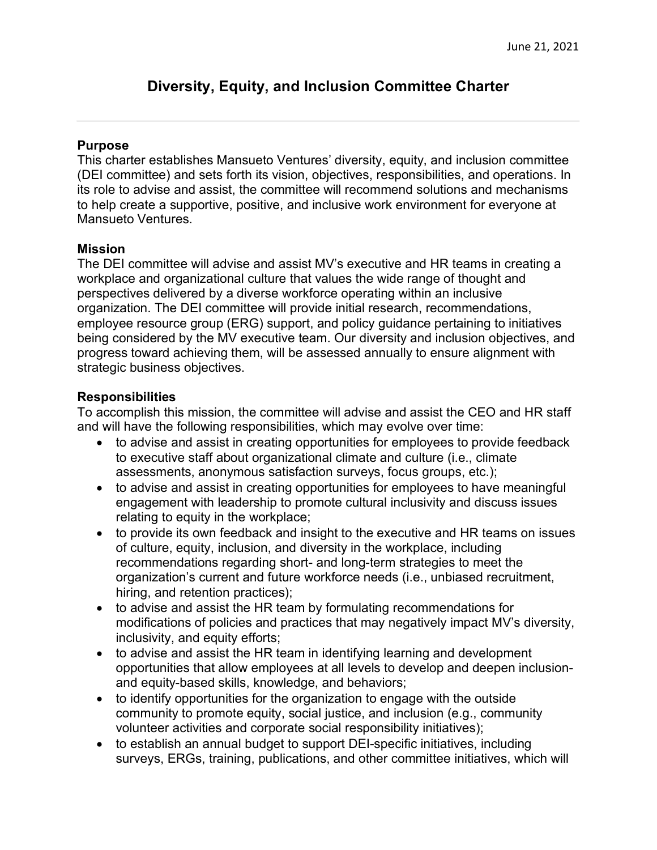# **Diversity, Equity, and Inclusion Committee Charter**

## **Purpose**

This charter establishes Mansueto Ventures' diversity, equity, and inclusion committee (DEI committee) and sets forth its vision, objectives, responsibilities, and operations. In its role to advise and assist, the committee will recommend solutions and mechanisms to help create a supportive, positive, and inclusive work environment for everyone at Mansueto Ventures.

## **Mission**

The DEI committee will advise and assist MV's executive and HR teams in creating a workplace and organizational culture that values the wide range of thought and perspectives delivered by a diverse workforce operating within an inclusive organization. The DEI committee will provide initial research, recommendations, employee resource group (ERG) support, and policy guidance pertaining to initiatives being considered by the MV executive team. Our diversity and inclusion objectives, and progress toward achieving them, will be assessed annually to ensure alignment with strategic business objectives.

# **Responsibilities**

To accomplish this mission, the committee will advise and assist the CEO and HR staff and will have the following responsibilities, which may evolve over time:

- to advise and assist in creating opportunities for employees to provide feedback to executive staff about organizational climate and culture (i.e., climate assessments, anonymous satisfaction surveys, focus groups, etc.);
- to advise and assist in creating opportunities for employees to have meaningful engagement with leadership to promote cultural inclusivity and discuss issues relating to equity in the workplace;
- to provide its own feedback and insight to the executive and HR teams on issues of culture, equity, inclusion, and diversity in the workplace, including recommendations regarding short- and long-term strategies to meet the organization's current and future workforce needs (i.e., unbiased recruitment, hiring, and retention practices);
- to advise and assist the HR team by formulating recommendations for modifications of policies and practices that may negatively impact MV's diversity, inclusivity, and equity efforts;
- to advise and assist the HR team in identifying learning and development opportunities that allow employees at all levels to develop and deepen inclusionand equity-based skills, knowledge, and behaviors;
- to identify opportunities for the organization to engage with the outside community to promote equity, social justice, and inclusion (e.g., community volunteer activities and corporate social responsibility initiatives);
- to establish an annual budget to support DEI-specific initiatives, including surveys, ERGs, training, publications, and other committee initiatives, which will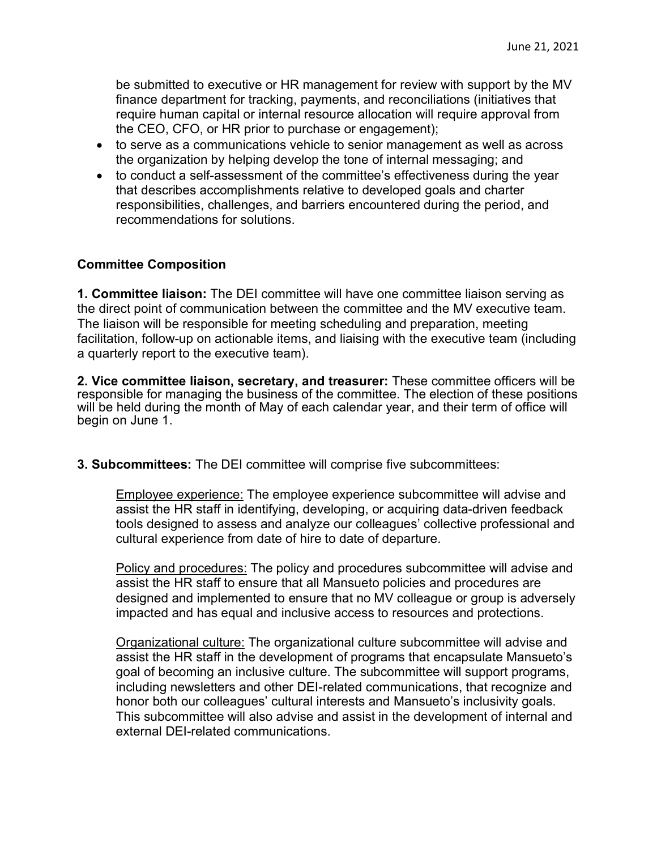be submitted to executive or HR management for review with support by the MV finance department for tracking, payments, and reconciliations (initiatives that require human capital or internal resource allocation will require approval from the CEO, CFO, or HR prior to purchase or engagement);

- to serve as a communications vehicle to senior management as well as across the organization by helping develop the tone of internal messaging; and
- to conduct a self-assessment of the committee's effectiveness during the year that describes accomplishments relative to developed goals and charter responsibilities, challenges, and barriers encountered during the period, and recommendations for solutions.

# **Committee Composition**

**1. Committee liaison:** The DEI committee will have one committee liaison serving as the direct point of communication between the committee and the MV executive team. The liaison will be responsible for meeting scheduling and preparation, meeting facilitation, follow-up on actionable items, and liaising with the executive team (including a quarterly report to the executive team).

**2. Vice committee liaison, secretary, and treasurer:** These committee officers will be responsible for managing the business of the committee. The election of these positions will be held during the month of May of each calendar year, and their term of office will begin on June 1.

**3. Subcommittees:** The DEI committee will comprise five subcommittees:

Employee experience: The employee experience subcommittee will advise and assist the HR staff in identifying, developing, or acquiring data-driven feedback tools designed to assess and analyze our colleagues' collective professional and cultural experience from date of hire to date of departure.

Policy and procedures: The policy and procedures subcommittee will advise and assist the HR staff to ensure that all Mansueto policies and procedures are designed and implemented to ensure that no MV colleague or group is adversely impacted and has equal and inclusive access to resources and protections.

Organizational culture: The organizational culture subcommittee will advise and assist the HR staff in the development of programs that encapsulate Mansueto's goal of becoming an inclusive culture. The subcommittee will support programs, including newsletters and other DEI-related communications, that recognize and honor both our colleagues' cultural interests and Mansueto's inclusivity goals. This subcommittee will also advise and assist in the development of internal and external DEI-related communications.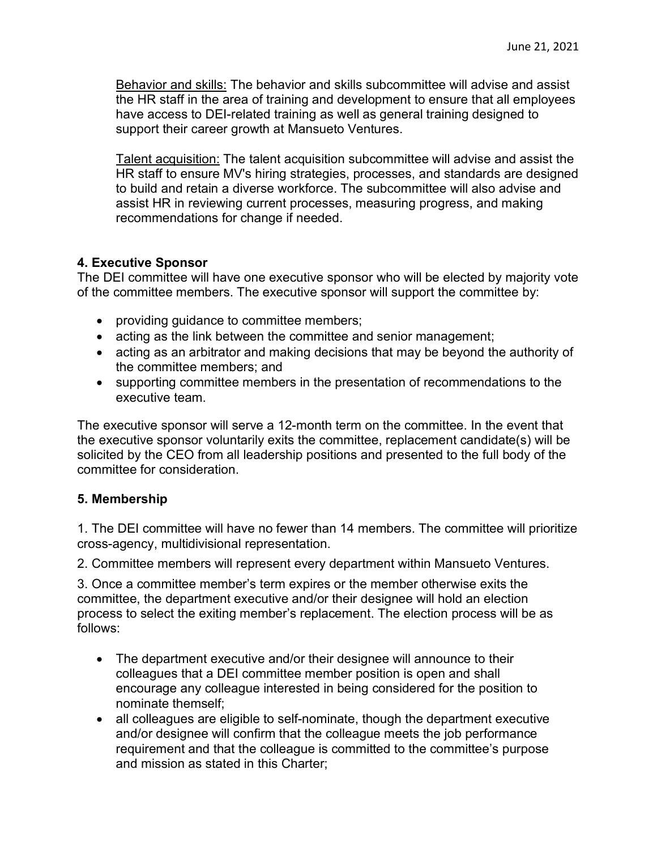Behavior and skills: The behavior and skills subcommittee will advise and assist the HR staff in the area of training and development to ensure that all employees have access to DEI-related training as well as general training designed to support their career growth at Mansueto Ventures.

Talent acquisition: The talent acquisition subcommittee will advise and assist the HR staff to ensure MV's hiring strategies, processes, and standards are designed to build and retain a diverse workforce. The subcommittee will also advise and assist HR in reviewing current processes, measuring progress, and making recommendations for change if needed.

# **4. Executive Sponsor**

The DEI committee will have one executive sponsor who will be elected by majority vote of the committee members. The executive sponsor will support the committee by:

- providing guidance to committee members;
- acting as the link between the committee and senior management;
- acting as an arbitrator and making decisions that may be beyond the authority of the committee members; and
- supporting committee members in the presentation of recommendations to the executive team.

The executive sponsor will serve a 12-month term on the committee. In the event that the executive sponsor voluntarily exits the committee, replacement candidate(s) will be solicited by the CEO from all leadership positions and presented to the full body of the committee for consideration.

## **5. Membership**

1. The DEI committee will have no fewer than 14 members. The committee will prioritize cross-agency, multidivisional representation.

2. Committee members will represent every department within Mansueto Ventures.

3. Once a committee member's term expires or the member otherwise exits the committee, the department executive and/or their designee will hold an election process to select the exiting member's replacement. The election process will be as follows:

- The department executive and/or their designee will announce to their colleagues that a DEI committee member position is open and shall encourage any colleague interested in being considered for the position to nominate themself;
- all colleagues are eligible to self-nominate, though the department executive and/or designee will confirm that the colleague meets the job performance requirement and that the colleague is committed to the committee's purpose and mission as stated in this Charter;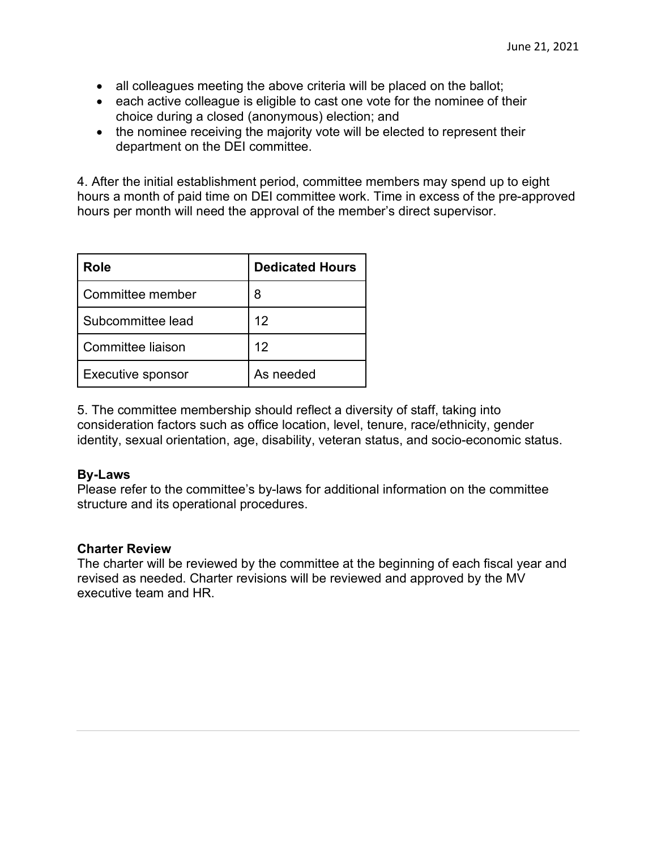- all colleagues meeting the above criteria will be placed on the ballot;
- each active colleague is eligible to cast one vote for the nominee of their choice during a closed (anonymous) election; and
- the nominee receiving the majority vote will be elected to represent their department on the DEI committee.

4. After the initial establishment period, committee members may spend up to eight hours a month of paid time on DEI committee work. Time in excess of the pre-approved hours per month will need the approval of the member's direct supervisor.

| Role                     | <b>Dedicated Hours</b> |
|--------------------------|------------------------|
| Committee member         | 8                      |
| Subcommittee lead        | 12                     |
| Committee liaison        | 12                     |
| <b>Executive sponsor</b> | As needed              |

5. The committee membership should reflect a diversity of staff, taking into consideration factors such as office location, level, tenure, race/ethnicity, gender identity, sexual orientation, age, disability, veteran status, and socio-economic status.

#### **By-Laws**

Please refer to the committee's by-laws for additional information on the committee structure and its operational procedures.

## **Charter Review**

The charter will be reviewed by the committee at the beginning of each fiscal year and revised as needed. Charter revisions will be reviewed and approved by the MV executive team and HR.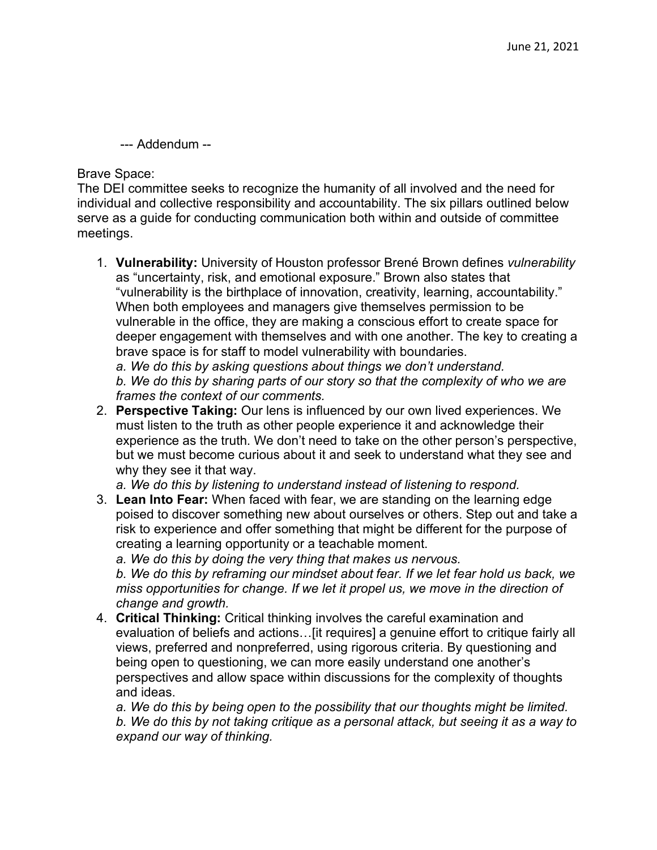--- Addendum --

Brave Space:

The DEI committee seeks to recognize the humanity of all involved and the need for individual and collective responsibility and accountability. The six pillars outlined below serve as a guide for conducting communication both within and outside of committee meetings.

1. **Vulnerability:** University of Houston professor Brené Brown defines *vulnerability* as "uncertainty, risk, and emotional exposure." Brown also states that "vulnerability is the birthplace of innovation, creativity, learning, accountability." When both employees and managers give themselves permission to be vulnerable in the office, they are making a conscious effort to create space for deeper engagement with themselves and with one another. The key to creating a brave space is for staff to model vulnerability with boundaries. *a. We do this by asking questions about things we don't understand.*

*b. We do this by sharing parts of our story so that the complexity of who we are frames the context of our comments.*

2. **Perspective Taking:** Our lens is influenced by our own lived experiences. We must listen to the truth as other people experience it and acknowledge their experience as the truth. We don't need to take on the other person's perspective, but we must become curious about it and seek to understand what they see and why they see it that way.

*a. We do this by listening to understand instead of listening to respond.*

3. **Lean Into Fear:** When faced with fear, we are standing on the learning edge poised to discover something new about ourselves or others. Step out and take a risk to experience and offer something that might be different for the purpose of creating a learning opportunity or a teachable moment.

*a. We do this by doing the very thing that makes us nervous.*

*b. We do this by reframing our mindset about fear. If we let fear hold us back, we miss opportunities for change. If we let it propel us, we move in the direction of change and growth.*

4. **Critical Thinking:** Critical thinking involves the careful examination and evaluation of beliefs and actions…[it requires] a genuine effort to critique fairly all views, preferred and nonpreferred, using rigorous criteria. By questioning and being open to questioning, we can more easily understand one another's perspectives and allow space within discussions for the complexity of thoughts and ideas.

*a. We do this by being open to the possibility that our thoughts might be limited. b. We do this by not taking critique as a personal attack, but seeing it as a way to expand our way of thinking.*